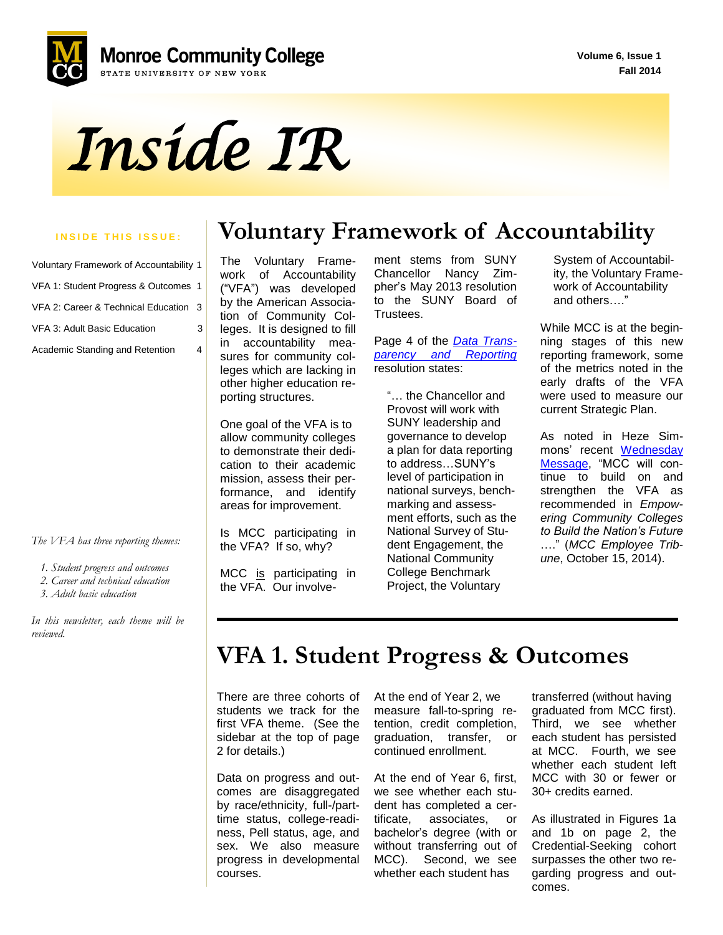**Volume 6, Issue 1 Fall 2014**





| Voluntary Framework of Accountability 1 |   |
|-----------------------------------------|---|
| VFA 1: Student Progress & Outcomes 1    |   |
| VFA 2: Career & Technical Education 3   |   |
| VFA 3: Adult Basic Education            | 3 |
| Academic Standing and Retention         | 4 |

*The VFA has three reporting themes:* 

 *1. Student progress and outcomes*

 *2. Career and technical education*

 *3. Adult basic education* 

*In this newsletter, each theme will be reviewed.*

### **INSIDE THIS ISSUE: Voluntary Framework of Accountability**

 in accountability mea-The Voluntary Framework of Accountability ("VFA") was developed by the American Association of Community Colleges. It is designed to fill sures for community colleges which are lacking in other higher education reporting structures.

One goal of the VFA is to allow community colleges to demonstrate their dedication to their academic mission, assess their performance, and identify areas for improvement.

Is MCC participating in the VFA? If so, why?

MCC is participating in the VFA. Our involvement stems from SUNY Chancellor Nancy Zimpher's May 2013 resolution to the SUNY Board of Trustees.

Page 4 of the *[Data Trans](http://www.suny.edu/about/leadership/board-of-trustees/meetings/webcastdocs/Data%20Transparency%20and%20Reporting.pdf)[parency and Reporting](http://www.suny.edu/about/leadership/board-of-trustees/meetings/webcastdocs/Data%20Transparency%20and%20Reporting.pdf)* resolution states:

 "… the Chancellor and Provost will work with SUNY leadership and governance to develop a plan for data reporting to address…SUNY's level of participation in national surveys, bench marking and assess ment efforts, such as the National Survey of Stu dent Engagement, the National Community College Benchmark Project, the Voluntary

 System of Accountabil ity, the Voluntary Frame work of Accountability and others…."

While MCC is at the beginning stages of this new reporting framework, some of the metrics noted in the early drafts of the VFA were used to measure our current Strategic Plan.

As noted in Heze Simmons' recent [Wednesday](http://www.monroecc.edu/ArchAnnou.nsf/d4b4cfac60dfda7f85256c55006cc00b/14d896125c281ec785257d71006dbc60?OpenDocument&Highlight=0,VFA)  [Message,](http://www.monroecc.edu/ArchAnnou.nsf/d4b4cfac60dfda7f85256c55006cc00b/14d896125c281ec785257d71006dbc60?OpenDocument&Highlight=0,VFA) "MCC will continue to build on and strengthen the VFA as recommended in *Empowering Community Colleges to Build the Nation's Future* …." (*MCC Employee Tribune*, October 15, 2014).

## **VFA 1. Student Progress & Outcomes**

 students we track for the There are three cohorts of first VFA theme. (See the sidebar at the top of page 2 for details.)

Data on progress and outcomes are disaggregated by race/ethnicity, full-/parttime status, college-readiness, Pell status, age, and sex. We also measure progress in developmental courses.

At the end of Year 2, we measure fall-to-spring retention, credit completion, graduation, transfer, or continued enrollment.

At the end of Year 6, first, we see whether each student has completed a certificate, associates, or bachelor's degree (with or without transferring out of MCC). Second, we see whether each student has

transferred (without having graduated from MCC first). Third, we see whether each student has persisted at MCC. Fourth, we see whether each student left MCC with 30 or fewer or 30+ credits earned.

As illustrated in Figures 1a and 1b on page 2, the Credential-Seeking cohort surpasses the other two regarding progress and outcomes.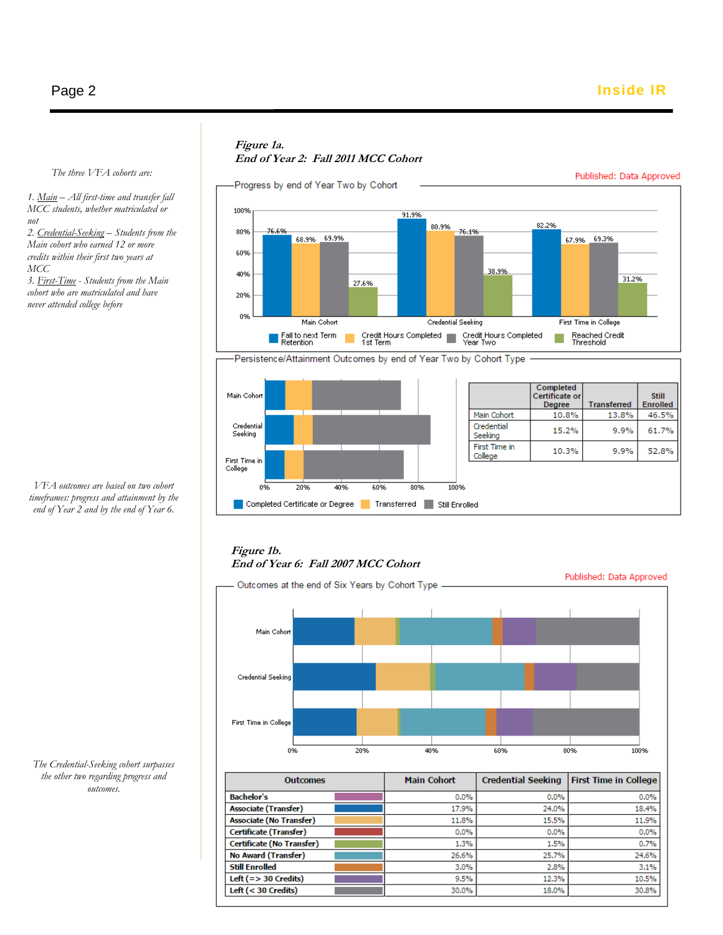### **Figure 1a. End of Year 2: Fall 2011 MCC Cohort**



#### *The three VFA cohorts are:*

*1. Main – All first-time and transfer fall MCC students, whether matriculated or not*

*2. Credential-Seeking – Students from the Main cohort who earned 12 or more credits within their first two years at MCC*

*3. First-Time - Students from the Main cohort who are matriculated and have never attended college before*

*VFA outcomes are based on two cohort timeframes: progress and attainment by the end of Year 2 and by the end of Year 6.*

### **Figure 1b. End of Year 6: Fall 2007 MCC Cohort**



| <b>Outcomes</b>                | <b>Main Cohort</b> | <b>Credential Seeking</b> | <b>First Time in College</b> |
|--------------------------------|--------------------|---------------------------|------------------------------|
| <b>Bachelor's</b>              | 0.0%               | 0.0%                      | 0.0%                         |
| <b>Associate (Transfer)</b>    | 17.9%              | 24.0%                     | 18.4%                        |
| <b>Associate (No Transfer)</b> | 11.8%              | 15.5%                     | 11.9%                        |
| <b>Certificate (Transfer)</b>  | 0.0%               | 0.0%                      | 0.0%                         |
| Certificate (No Transfer)      | 1.3%               | 1.5%                      | 0.7%                         |
| No Award (Transfer)            | 26.6%              | 25.7%                     | 24.6%                        |
| <b>Still Enrolled</b>          | 3.0%               | 2.8%                      | 3.1%                         |
| Left $(=>30$ Credits)          | 9.5%               | 12.3%                     | 10.5%                        |
| Left $(30 Credits)$            | 30.0%              | 18.0%                     | 30.8%                        |

 $\epsilon$   $\epsilon$ 18-19 *The Credential-Seeking cohort surpasses* 20-21 *the other two regarding progress and*  outcomes.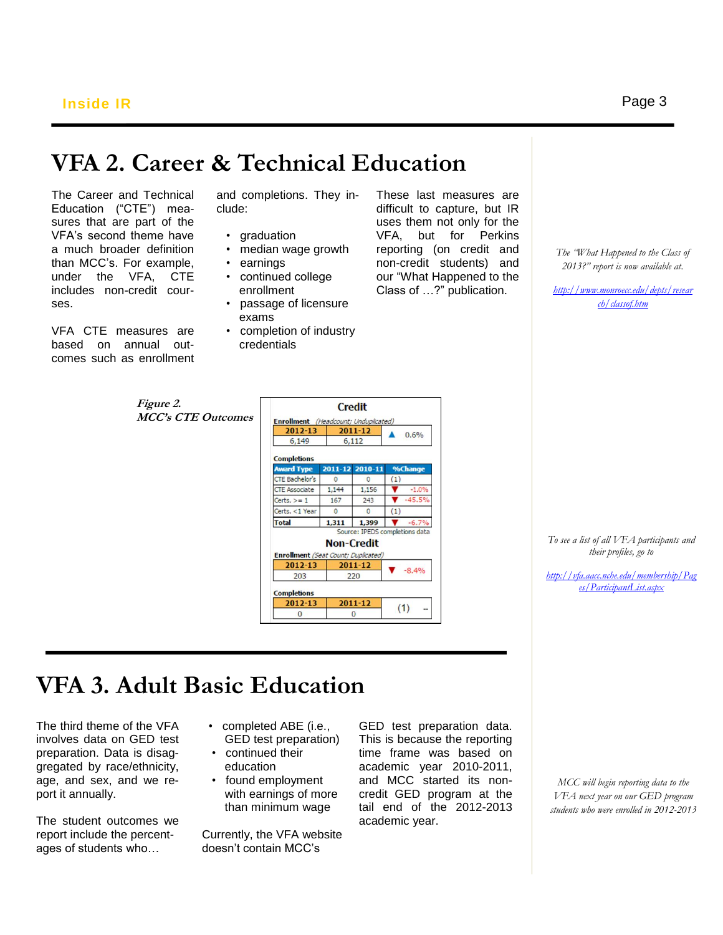# **VFA 2. Career & Technical Education**

The Career and Technical Education ("CTE") measures that are part of the VFA's second theme have a much broader definition than MCC's. For example, under the VFA, CTE includes non-credit courses.

VFA CTE measures are based on annual outcomes such as enrollment and completions. They include:

- graduation
- median wage growth
- earnings
- continued college enrollment
- passage of licensure exams
- completion of industry credentials

These last measures are difficult to capture, but IR uses them not only for the VFA, but for Perkins reporting (on credit and non-credit students) and our "What Happened to the Class of …?" publication.

*The "What Happened to the Class of 2013?" report is now available at.*

*[http://www.monroecc.edu/depts/resear](http://www.monroecc.edu/depts/research/classof.htm) [ch/classof.htm](http://www.monroecc.edu/depts/research/classof.htm)*

| <i>Figure 2.</i>          | <b>Credit</b>                        |              |                   |                                |
|---------------------------|--------------------------------------|--------------|-------------------|--------------------------------|
| <b>MCC's CTE Outcomes</b> | Enrollment (Headcount; Unduplicated) |              |                   |                                |
|                           | 2012-13                              | 2011-12      |                   | 0.6%                           |
|                           | 6,149                                |              | 6,112             |                                |
|                           | <b>Completions</b>                   |              |                   |                                |
|                           | <b>Award Type</b>                    | $2011 - 12$  | $2010 - 11$       | %Change                        |
|                           | <b>CTE Bachelor's</b>                | $\mathbf{0}$ | $\mathbf{0}$      | (1)                            |
|                           | <b>CTE Associate</b>                 | 1,144        | 1,156             | $-1.0%$                        |
|                           | Certs. $>= 1$                        | 167          | 243               | $-45.5%$                       |
|                           | Certs, <1 Year                       | $\mathbf{0}$ | $\mathbf{0}$      | (1)                            |
|                           | <b>Total</b>                         | 1,311        | 1,399             | $-6.7%$                        |
|                           |                                      |              |                   | Source: IPEDS completions data |
|                           |                                      |              | <b>Non-Credit</b> |                                |
|                           | Enrollment (Seat Count; Duplicated)  |              |                   |                                |
|                           | 2012-13                              |              | 2011-12           |                                |
|                           | 203                                  |              | 220               | $-8.4%$                        |
|                           | <b>Completions</b>                   |              |                   |                                |
|                           | 2012-13                              |              | 2011-12           | (1)                            |
|                           | $\bf{0}$                             |              | $\bf{0}$          | --                             |

*To see a list of all VFA participants and their profiles, go to* 

*[http://vfa.aacc.nche.edu/membership/Pag](http://vfa.aacc.nche.edu/membership/Pages/ParticipantList.aspx) [es/ParticipantList.aspx](http://vfa.aacc.nche.edu/membership/Pages/ParticipantList.aspx)*

# **VFA 3. Adult Basic Education**

The third theme of the VFA involves data on GED test preparation. Data is disaggregated by race/ethnicity, age, and sex, and we report it annually.

j

The student outcomes we report include the percentages of students who…

- completed ABE (i.e., GED test preparation)
	- continued their education
	- found employment with earnings of more than minimum wage

Currently, the VFA website doesn't contain MCC's

GED test preparation data. This is because the reporting time frame was based on academic year 2010-2011, and MCC started its noncredit GED program at the tail end of the 2012-2013 academic year.

*MCC will begin reporting data to the VFA next year on our GED program students who were enrolled in 2012-2013*